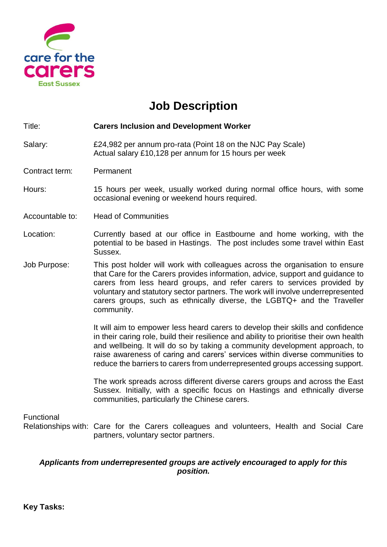

## **Job Description**

Title: **Carers Inclusion and Development Worker**

Salary: £24,982 per annum pro-rata (Point 18 on the NJC Pay Scale) Actual salary £10,128 per annum for 15 hours per week

Contract term: Permanent

Hours: 15 hours per week, usually worked during normal office hours, with some occasional evening or weekend hours required.

Accountable to: Head of Communities

- Location: Currently based at our office in Eastbourne and home working, with the potential to be based in Hastings. The post includes some travel within East Sussex.
- Job Purpose: This post holder will work with colleagues across the organisation to ensure that Care for the Carers provides information, advice, support and guidance to carers from less heard groups, and refer carers to services provided by voluntary and statutory sector partners. The work will involve underrepresented carers groups, such as ethnically diverse, the LGBTQ+ and the Traveller community.

It will aim to empower less heard carers to develop their skills and confidence in their caring role, build their resilience and ability to prioritise their own health and wellbeing. It will do so by taking a community development approach, to raise awareness of caring and carers' services within diverse communities to reduce the barriers to carers from underrepresented groups accessing support.

The work spreads across different diverse carers groups and across the East Sussex. Initially, with a specific focus on Hastings and ethnically diverse communities, particularly the Chinese carers.

Functional

Relationships with: Care for the Carers colleagues and volunteers, Health and Social Care partners, voluntary sector partners.

## *Applicants from underrepresented groups are actively encouraged to apply for this position.*

**Key Tasks:**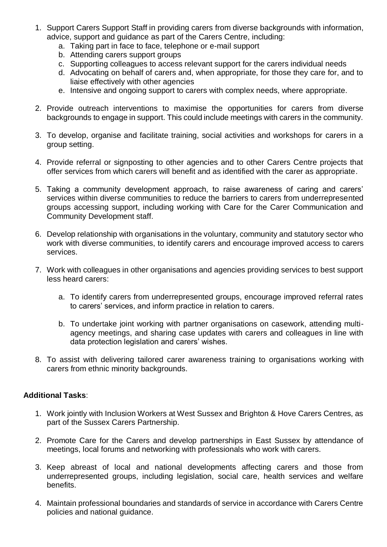- 1. Support Carers Support Staff in providing carers from diverse backgrounds with information, advice, support and guidance as part of the Carers Centre, including:
	- a. Taking part in face to face, telephone or e-mail support
	- b. Attending carers support groups
	- c. Supporting colleagues to access relevant support for the carers individual needs
	- d. Advocating on behalf of carers and, when appropriate, for those they care for, and to liaise effectively with other agencies
	- e. Intensive and ongoing support to carers with complex needs, where appropriate.
- 2. Provide outreach interventions to maximise the opportunities for carers from diverse backgrounds to engage in support. This could include meetings with carers in the community.
- 3. To develop, organise and facilitate training, social activities and workshops for carers in a group setting.
- 4. Provide referral or signposting to other agencies and to other Carers Centre projects that offer services from which carers will benefit and as identified with the carer as appropriate.
- 5. Taking a community development approach, to raise awareness of caring and carers' services within diverse communities to reduce the barriers to carers from underrepresented groups accessing support, including working with Care for the Carer Communication and Community Development staff.
- 6. Develop relationship with organisations in the voluntary, community and statutory sector who work with diverse communities, to identify carers and encourage improved access to carers services.
- 7. Work with colleagues in other organisations and agencies providing services to best support less heard carers:
	- a. To identify carers from underrepresented groups, encourage improved referral rates to carers' services, and inform practice in relation to carers.
	- b. To undertake joint working with partner organisations on casework, attending multiagency meetings, and sharing case updates with carers and colleagues in line with data protection legislation and carers' wishes.
- 8. To assist with delivering tailored carer awareness training to organisations working with carers from ethnic minority backgrounds.

## **Additional Tasks**:

- 1. Work jointly with Inclusion Workers at West Sussex and Brighton & Hove Carers Centres, as part of the Sussex Carers Partnership.
- 2. Promote Care for the Carers and develop partnerships in East Sussex by attendance of meetings, local forums and networking with professionals who work with carers.
- 3. Keep abreast of local and national developments affecting carers and those from underrepresented groups, including legislation, social care, health services and welfare benefits.
- 4. Maintain professional boundaries and standards of service in accordance with Carers Centre policies and national guidance.